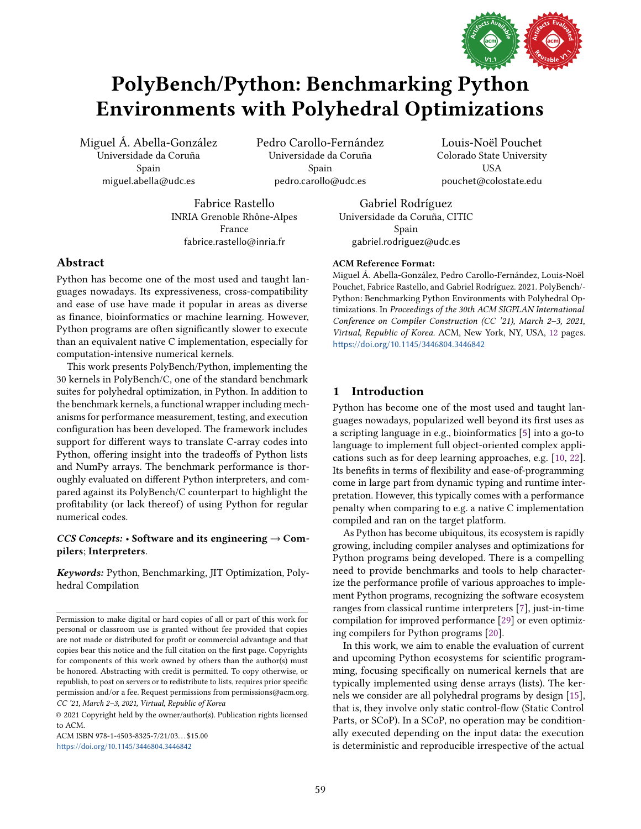

# PolyBench/Python: Benchmarking Python Environments with Polyhedral Optimizations

Miguel Á. Abella-González Universidade da Coruña Spain miguel.abella@udc.es

Pedro Carollo-Fernández Universidade da Coruña Spain pedro.carollo@udc.es

Louis-Noël Pouchet Colorado State University USA pouchet@colostate.edu

Fabrice Rastello INRIA Grenoble Rhône-Alpes France fabrice.rastello@inria.fr

Gabriel Rodríguez Universidade da Coruña, CITIC Spain gabriel.rodriguez@udc.es

# Abstract

Python has become one of the most used and taught languages nowadays. Its expressiveness, cross-compatibility and ease of use have made it popular in areas as diverse as finance, bioinformatics or machine learning. However, Python programs are often significantly slower to execute than an equivalent native C implementation, especially for computation-intensive numerical kernels.

This work presents PolyBench/Python, implementing the 30 kernels in PolyBench/C, one of the standard benchmark suites for polyhedral optimization, in Python. In addition to the benchmark kernels, a functional wrapper including mechanisms for performance measurement, testing, and execution configuration has been developed. The framework includes support for different ways to translate C-array codes into Python, offering insight into the tradeoffs of Python lists and NumPy arrays. The benchmark performance is thoroughly evaluated on different Python interpreters, and compared against its PolyBench/C counterpart to highlight the profitability (or lack thereof) of using Python for regular numerical codes.

# CCS Concepts:  $\cdot$  Software and its engineering  $\rightarrow$  Compilers; Interpreters.

Keywords: Python, Benchmarking, JIT Optimization, Polyhedral Compilation

ACM ISBN 978-1-4503-8325-7/21/03. . . \$15.00 <https://doi.org/10.1145/3446804.3446842>

## ACM Reference Format:

Miguel Á. Abella-González, Pedro Carollo-Fernández, Louis-Noël Pouchet, Fabrice Rastello, and Gabriel Rodríguez. 2021. PolyBench/- Python: Benchmarking Python Environments with Polyhedral Optimizations. In Proceedings of the 30th ACM SIGPLAN International Conference on Compiler Construction (CC '21), March 2-3, 2021, Virtual, Republic of Korea. ACM, New York, NY, USA, [12](#page-11-0) pages. <https://doi.org/10.1145/3446804.3446842>

# 1 Introduction

Python has become one of the most used and taught languages nowadays, popularized well beyond its first uses as a scripting language in e.g., bioinformatics [\[5\]](#page-10-0) into a go-to language to implement full object-oriented complex applications such as for deep learning approaches, e.g. [\[10,](#page-10-1) [22\]](#page-10-2). Its benefits in terms of flexibility and ease-of-programming come in large part from dynamic typing and runtime interpretation. However, this typically comes with a performance penalty when comparing to e.g. a native C implementation compiled and ran on the target platform.

As Python has become ubiquitous, its ecosystem is rapidly growing, including compiler analyses and optimizations for Python programs being developed. There is a compelling need to provide benchmarks and tools to help characterize the performance profile of various approaches to implement Python programs, recognizing the software ecosystem ranges from classical runtime interpreters [\[7\]](#page-10-3), just-in-time compilation for improved performance [\[29\]](#page-11-1) or even optimizing compilers for Python programs [\[20\]](#page-10-4).

In this work, we aim to enable the evaluation of current and upcoming Python ecosystems for scientific programming, focusing specifically on numerical kernels that are typically implemented using dense arrays (lists). The kernels we consider are all polyhedral programs by design [\[15\]](#page-10-5), that is, they involve only static control-flow (Static Control Parts, or SCoP). In a SCoP, no operation may be conditionally executed depending on the input data: the execution is deterministic and reproducible irrespective of the actual

Permission to make digital or hard copies of all or part of this work for personal or classroom use is granted without fee provided that copies are not made or distributed for profit or commercial advantage and that copies bear this notice and the full citation on the first page. Copyrights for components of this work owned by others than the author(s) must be honored. Abstracting with credit is permitted. To copy otherwise, or republish, to post on servers or to redistribute to lists, requires prior specific permission and/or a fee. Request permissions from permissions@acm.org. CC '21, March 2-3, 2021, Virtual, Republic of Korea

<sup>© 2021</sup> Copyright held by the owner/author(s). Publication rights licensed to ACM.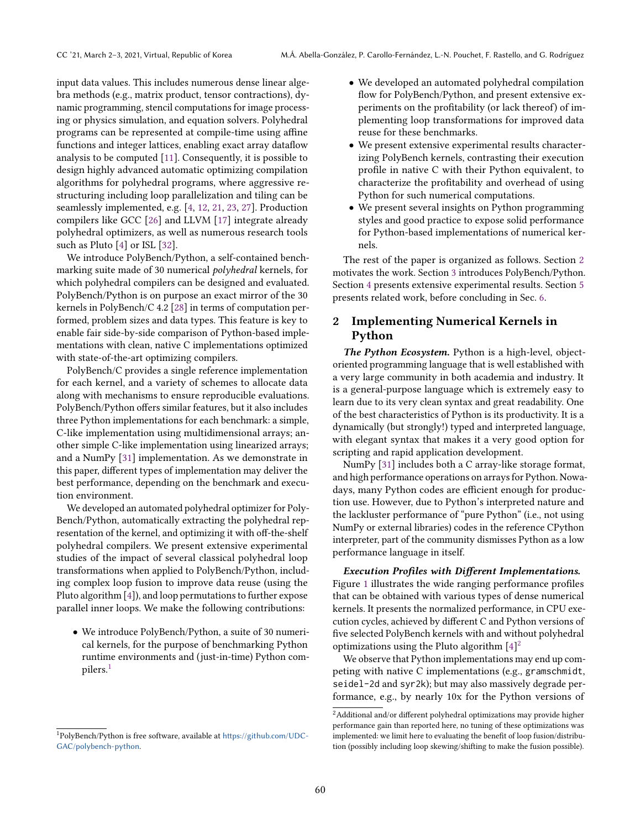input data values. This includes numerous dense linear algebra methods (e.g., matrix product, tensor contractions), dynamic programming, stencil computations for image processing or physics simulation, and equation solvers. Polyhedral programs can be represented at compile-time using affine functions and integer lattices, enabling exact array dataflow analysis to be computed [\[11\]](#page-10-6). Consequently, it is possible to design highly advanced automatic optimizing compilation algorithms for polyhedral programs, where aggressive restructuring including loop parallelization and tiling can be seamlessly implemented, e.g. [\[4,](#page-10-7) [12,](#page-10-8) [21,](#page-10-9) [23,](#page-10-10) [27\]](#page-11-2). Production compilers like GCC [\[26\]](#page-11-3) and LLVM [\[17\]](#page-10-11) integrate already polyhedral optimizers, as well as numerous research tools such as Pluto [\[4\]](#page-10-7) or ISL [\[32\]](#page-11-4).

We introduce PolyBench/Python, a self-contained benchmarking suite made of 30 numerical polyhedral kernels, for which polyhedral compilers can be designed and evaluated. PolyBench/Python is on purpose an exact mirror of the 30 kernels in PolyBench/C 4.2 [\[28\]](#page-11-5) in terms of computation performed, problem sizes and data types. This feature is key to enable fair side-by-side comparison of Python-based implementations with clean, native C implementations optimized with state-of-the-art optimizing compilers.

PolyBench/C provides a single reference implementation for each kernel, and a variety of schemes to allocate data along with mechanisms to ensure reproducible evaluations. PolyBench/Python offers similar features, but it also includes three Python implementations for each benchmark: a simple, C-like implementation using multidimensional arrays; another simple C-like implementation using linearized arrays; and a NumPy [\[31\]](#page-11-6) implementation. As we demonstrate in this paper, different types of implementation may deliver the best performance, depending on the benchmark and execution environment.

We developed an automated polyhedral optimizer for Poly-Bench/Python, automatically extracting the polyhedral representation of the kernel, and optimizing it with off-the-shelf polyhedral compilers. We present extensive experimental studies of the impact of several classical polyhedral loop transformations when applied to PolyBench/Python, including complex loop fusion to improve data reuse (using the Pluto algorithm [\[4\]](#page-10-7)), and loop permutations to further expose parallel inner loops. We make the following contributions:

• We introduce PolyBench/Python, a suite of 30 numerical kernels, for the purpose of benchmarking Python runtime environments and (just-in-time) Python compilers.[1](#page-1-0)

- We developed an automated polyhedral compilation flow for PolyBench/Python, and present extensive experiments on the profitability (or lack thereof) of implementing loop transformations for improved data reuse for these benchmarks.
- We present extensive experimental results characterizing PolyBench kernels, contrasting their execution profile in native C with their Python equivalent, to characterize the profitability and overhead of using Python for such numerical computations.
- We present several insights on Python programming styles and good practice to expose solid performance for Python-based implementations of numerical kernels.

The rest of the paper is organized as follows. Section [2](#page-1-1) motivates the work. Section [3](#page-2-0) introduces PolyBench/Python. Section [4](#page-4-0) presents extensive experimental results. Section [5](#page-9-0) presents related work, before concluding in Sec. [6.](#page-9-1)

# <span id="page-1-1"></span>2 Implementing Numerical Kernels in Python

The Python Ecosystem. Python is a high-level, objectoriented programming language that is well established with a very large community in both academia and industry. It is a general-purpose language which is extremely easy to learn due to its very clean syntax and great readability. One of the best characteristics of Python is its productivity. It is a dynamically (but strongly!) typed and interpreted language, with elegant syntax that makes it a very good option for scripting and rapid application development.

NumPy [\[31\]](#page-11-6) includes both a C array-like storage format, and high performance operations on arrays for Python. Nowadays, many Python codes are efficient enough for production use. However, due to Python's interpreted nature and the lackluster performance of "pure Python" (i.e., not using NumPy or external libraries) codes in the reference CPython interpreter, part of the community dismisses Python as a low performance language in itself.

Execution Profiles with Different Implementations. Figure [1](#page-2-1) illustrates the wide ranging performance profiles that can be obtained with various types of dense numerical kernels. It presents the normalized performance, in CPU execution cycles, achieved by different C and Python versions of five selected PolyBench kernels with and without polyhedral optimizations using the Pluto algorithm  $[4]^2$  $[4]^2$ 

We observe that Python implementations may end up competing with native C implementations (e.g., gramschmidt, seidel-2d and syr2k); but may also massively degrade performance, e.g., by nearly 10x for the Python versions of

<span id="page-1-0"></span><sup>1</sup>PolyBench/Python is free software, available at [https://github.com/UDC-](https://github.com/UDC-GAC/polybench-python)[GAC/polybench-python](https://github.com/UDC-GAC/polybench-python).

<span id="page-1-2"></span> $^2\mbox{Additional}$  and/or different polyhedral optimizations may provide higher performance gain than reported here, no tuning of these optimizations was implemented: we limit here to evaluating the benefit of loop fusion/distribution (possibly including loop skewing/shifting to make the fusion possible).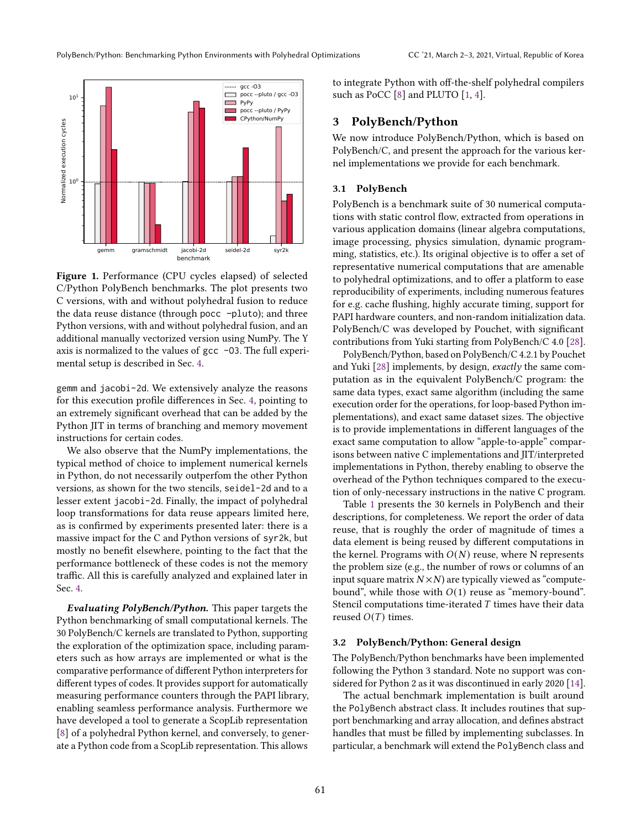<span id="page-2-1"></span>

Figure 1. Performance (CPU cycles elapsed) of selected C/Python PolyBench benchmarks. The plot presents two C versions, with and without polyhedral fusion to reduce the data reuse distance (through pocc –pluto); and three Python versions, with and without polyhedral fusion, and an additional manually vectorized version using NumPy. The Y axis is normalized to the values of gcc -O3. The full experimental setup is described in Sec. [4.](#page-4-0)

gemm and jacobi-2d. We extensively analyze the reasons for this execution profile differences in Sec. [4,](#page-4-0) pointing to an extremely significant overhead that can be added by the Python JIT in terms of branching and memory movement instructions for certain codes.

We also observe that the NumPy implementations, the typical method of choice to implement numerical kernels in Python, do not necessarily outperfom the other Python versions, as shown for the two stencils, seidel-2d and to a lesser extent jacobi-2d. Finally, the impact of polyhedral loop transformations for data reuse appears limited here, as is confirmed by experiments presented later: there is a massive impact for the C and Python versions of syr2k, but mostly no benefit elsewhere, pointing to the fact that the performance bottleneck of these codes is not the memory traffic. All this is carefully analyzed and explained later in Sec. [4.](#page-4-0)

Evaluating PolyBench/Python. This paper targets the Python benchmarking of small computational kernels. The 30 PolyBench/C kernels are translated to Python, supporting the exploration of the optimization space, including parameters such as how arrays are implemented or what is the comparative performance of different Python interpreters for different types of codes. It provides support for automatically measuring performance counters through the PAPI library, enabling seamless performance analysis. Furthermore we have developed a tool to generate a ScopLib representation [\[8\]](#page-10-12) of a polyhedral Python kernel, and conversely, to generate a Python code from a ScopLib representation. This allows

to integrate Python with off-the-shelf polyhedral compilers such as PoCC [\[8\]](#page-10-12) and PLUTO [\[1,](#page-10-13) [4\]](#page-10-7).

## <span id="page-2-0"></span>3 PolyBench/Python

We now introduce PolyBench/Python, which is based on PolyBench/C, and present the approach for the various kernel implementations we provide for each benchmark.

## 3.1 PolyBench

PolyBench is a benchmark suite of 30 numerical computations with static control flow, extracted from operations in various application domains (linear algebra computations, image processing, physics simulation, dynamic programming, statistics, etc.). Its original objective is to offer a set of representative numerical computations that are amenable to polyhedral optimizations, and to offer a platform to ease reproducibility of experiments, including numerous features for e.g. cache flushing, highly accurate timing, support for PAPI hardware counters, and non-random initialization data. PolyBench/C was developed by Pouchet, with significant contributions from Yuki starting from PolyBench/C 4.0 [\[28\]](#page-11-5).

PolyBench/Python, based on PolyBench/C 4.2.1 by Pouchet and Yuki [\[28\]](#page-11-5) implements, by design, exactly the same computation as in the equivalent PolyBench/C program: the same data types, exact same algorithm (including the same execution order for the operations, for loop-based Python implementations), and exact same dataset sizes. The objective is to provide implementations in different languages of the exact same computation to allow "apple-to-apple" comparisons between native C implementations and JIT/interpreted implementations in Python, thereby enabling to observe the overhead of the Python techniques compared to the execution of only-necessary instructions in the native C program.

Table [1](#page-3-0) presents the 30 kernels in PolyBench and their descriptions, for completeness. We report the order of data reuse, that is roughly the order of magnitude of times a data element is being reused by different computations in the kernel. Programs with  $O(N)$  reuse, where N represents the problem size (e.g., the number of rows or columns of an input square matrix  $N \times N$ ) are typically viewed as "computebound", while those with  $O(1)$  reuse as "memory-bound". Stencil computations time-iterated  $T$  times have their data reused  $O(T)$  times.

#### 3.2 PolyBench/Python: General design

The PolyBench/Python benchmarks have been implemented following the Python 3 standard. Note no support was considered for Python 2 as it was discontinued in early 2020 [\[14\]](#page-10-14).

The actual benchmark implementation is built around the PolyBench abstract class. It includes routines that support benchmarking and array allocation, and defines abstract handles that must be filled by implementing subclasses. In particular, a benchmark will extend the PolyBench class and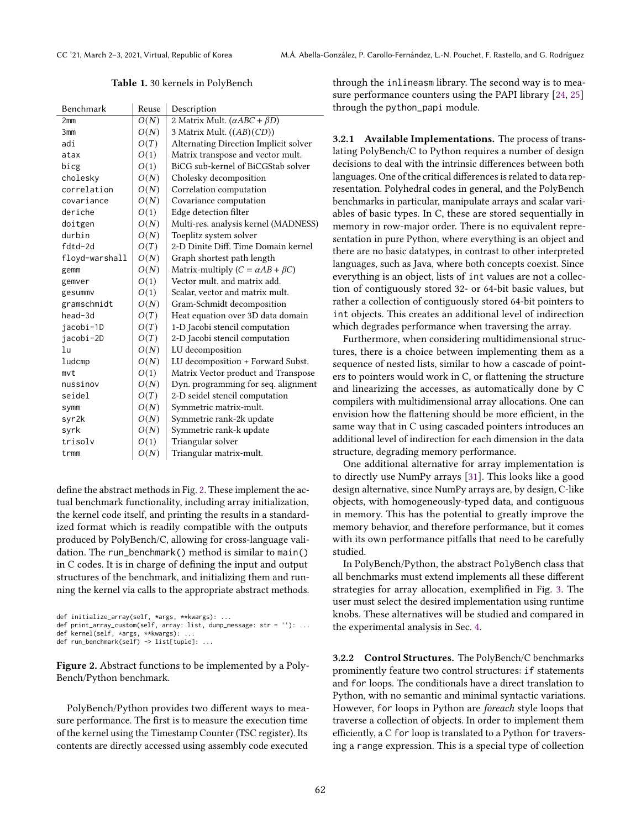Table 1. 30 kernels in PolyBench

<span id="page-3-0"></span>

| Benchmark       | Reuse | Description                                   |  |  |
|-----------------|-------|-----------------------------------------------|--|--|
| 2 <sub>mm</sub> | O(N)  | 2 Matrix Mult. $(\alpha ABC + \beta D)$       |  |  |
| 3mm             | O(N)  | 3 Matrix Mult. ((AB)(CD))                     |  |  |
| adi             | O(T)  | Alternating Direction Implicit solver         |  |  |
| atax            | O(1)  | Matrix transpose and vector mult.             |  |  |
| bicg            | O(1)  | BiCG sub-kernel of BiCGStab solver            |  |  |
| cholesky        | O(N)  | Cholesky decomposition                        |  |  |
| correlation     | O(N)  | Correlation computation                       |  |  |
| covariance      | O(N)  | Covariance computation                        |  |  |
| deriche         | O(1)  | Edge detection filter                         |  |  |
| doitgen         | O(N)  | Multi-res. analysis kernel (MADNESS)          |  |  |
| durbin          | O(N)  | Toeplitz system solver                        |  |  |
| fdtd-2d         | O(T)  | 2-D Dinite Diff. Time Domain kernel           |  |  |
| floyd-warshall  | O(N)  | Graph shortest path length                    |  |  |
| gemm            | O(N)  | Matrix-multiply ( $C = \alpha AB + \beta C$ ) |  |  |
| gemver          | O(1)  | Vector mult, and matrix add.                  |  |  |
| gesummv         | O(1)  | Scalar, vector and matrix mult.               |  |  |
| gramschmidt     | O(N)  | Gram-Schmidt decomposition                    |  |  |
| head-3d         | O(T)  | Heat equation over 3D data domain             |  |  |
| jacobi-1D       | O(T)  | 1-D Jacobi stencil computation                |  |  |
| jacobi-2D       | O(T)  | 2-D Jacobi stencil computation                |  |  |
| lu              | O(N)  | LU decomposition                              |  |  |
| ludcmp          | O(N)  | LU decomposition + Forward Subst.             |  |  |
| mvt             | O(1)  | Matrix Vector product and Transpose           |  |  |
| nussinov        | O(N)  | Dyn. programming for seq. alignment           |  |  |
| seidel          | O(T)  | 2-D seidel stencil computation                |  |  |
| symm            | O(N)  | Symmetric matrix-mult.                        |  |  |
| syr2k           | O(N)  | Symmetric rank-2k update                      |  |  |
| syrk            | O(N)  | Symmetric rank-k update                       |  |  |
| trisolv         | O(1)  | Triangular solver                             |  |  |
| trmm            | O(N)  | Triangular matrix-mult.                       |  |  |
|                 |       |                                               |  |  |

define the abstract methods in Fig. [2.](#page-3-1) These implement the actual benchmark functionality, including array initialization, the kernel code itself, and printing the results in a standardized format which is readily compatible with the outputs produced by PolyBench/C, allowing for cross-language validation. The run\_benchmark() method is similar to main() in C codes. It is in charge of defining the input and output structures of the benchmark, and initializing them and running the kernel via calls to the appropriate abstract methods.

```
def initialize_array(self, *args, **kwargs): ...
```

```
def print_array_custom(self, array: list, dump_message: str = ''): ...
```
def kernel(self, \*args, \*\*kwargs): ... def run\_benchmark(self) -> list[tuple]: ...

Figure 2. Abstract functions to be implemented by a Poly-Bench/Python benchmark.

PolyBench/Python provides two different ways to measure performance. The first is to measure the execution time of the kernel using the Timestamp Counter (TSC register). Its contents are directly accessed using assembly code executed

through the inlineasm library. The second way is to measure performance counters using the PAPI library [\[24,](#page-10-15) [25\]](#page-11-7) through the python\_papi module.

3.2.1 Available Implementations. The process of translating PolyBench/C to Python requires a number of design decisions to deal with the intrinsic differences between both languages. One of the critical differences is related to data representation. Polyhedral codes in general, and the PolyBench benchmarks in particular, manipulate arrays and scalar variables of basic types. In C, these are stored sequentially in memory in row-major order. There is no equivalent representation in pure Python, where everything is an object and there are no basic datatypes, in contrast to other interpreted languages, such as Java, where both concepts coexist. Since everything is an object, lists of int values are not a collection of contiguously stored 32- or 64-bit basic values, but rather a collection of contiguously stored 64-bit pointers to int objects. This creates an additional level of indirection which degrades performance when traversing the array.

Furthermore, when considering multidimensional structures, there is a choice between implementing them as a sequence of nested lists, similar to how a cascade of pointers to pointers would work in C, or flattening the structure and linearizing the accesses, as automatically done by C compilers with multidimensional array allocations. One can envision how the flattening should be more efficient, in the same way that in C using cascaded pointers introduces an additional level of indirection for each dimension in the data structure, degrading memory performance.

One additional alternative for array implementation is to directly use NumPy arrays [\[31\]](#page-11-6). This looks like a good design alternative, since NumPy arrays are, by design, C-like objects, with homogeneously-typed data, and contiguous in memory. This has the potential to greatly improve the memory behavior, and therefore performance, but it comes with its own performance pitfalls that need to be carefully studied.

In PolyBench/Python, the abstract PolyBench class that all benchmarks must extend implements all these different strategies for array allocation, exemplified in Fig. [3.](#page-4-1) The user must select the desired implementation using runtime knobs. These alternatives will be studied and compared in the experimental analysis in Sec. [4.](#page-4-0)

3.2.2 Control Structures. The PolyBench/C benchmarks prominently feature two control structures: if statements and for loops. The conditionals have a direct translation to Python, with no semantic and minimal syntactic variations. However, for loops in Python are foreach style loops that traverse a collection of objects. In order to implement them efficiently, a C for loop is translated to a Python for traversing a range expression. This is a special type of collection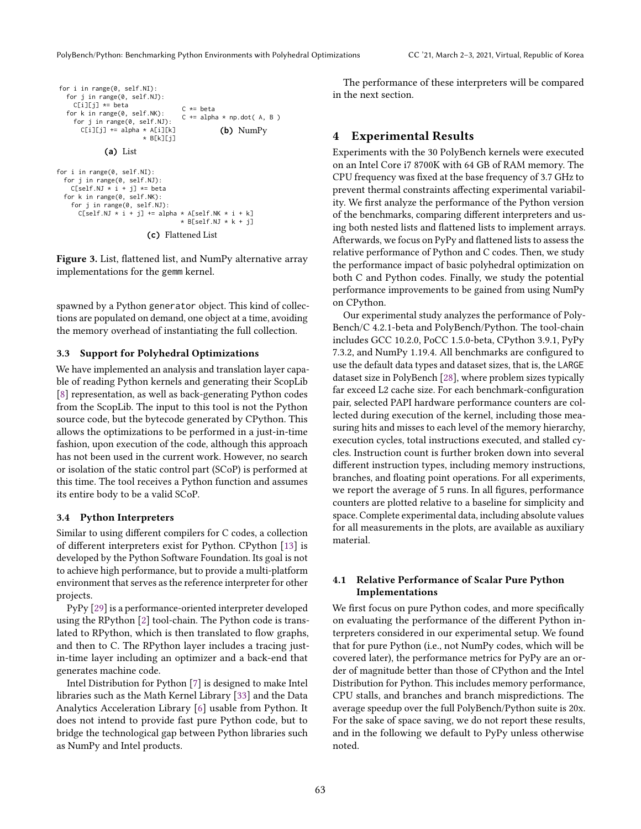```
for i in range(0, self.NI):
  for j in range(0, self.NJ):
    C[i][j] *= beta
  for k in range(0, self.NK):
     for j in range(0, self.NJ):
      C[i][j] += alpha * A[i][k]
                         * B[k][j]
              (a) List
                                    C \neq heta
                                    C += alpha * np.dot(A, B)
                                                (b) NumPy
for i in range(0, self.NI):
  for j in range(0, self.NJ):
C[self.NJ * i + j] *= beta
  for k in range(0, self.NK):
    for j in range(0, self.NJ):
      C[self.NJ * i + j] += alpha * A[self.NK * i + k]* B[self.NJ * k + j]
                          (c) Flattened List
```
Figure 3. List, flattened list, and NumPy alternative array implementations for the gemm kernel.

spawned by a Python generator object. This kind of collections are populated on demand, one object at a time, avoiding the memory overhead of instantiating the full collection.

## 3.3 Support for Polyhedral Optimizations

We have implemented an analysis and translation layer capable of reading Python kernels and generating their ScopLib [\[8\]](#page-10-12) representation, as well as back-generating Python codes from the ScopLib. The input to this tool is not the Python source code, but the bytecode generated by CPython. This allows the optimizations to be performed in a just-in-time fashion, upon execution of the code, although this approach has not been used in the current work. However, no search or isolation of the static control part (SCoP) is performed at this time. The tool receives a Python function and assumes its entire body to be a valid SCoP.

#### 3.4 Python Interpreters

Similar to using different compilers for C codes, a collection of different interpreters exist for Python. CPython [\[13\]](#page-10-16) is developed by the Python Software Foundation. Its goal is not to achieve high performance, but to provide a multi-platform environment that serves as the reference interpreter for other projects.

PyPy [\[29\]](#page-11-1) is a performance-oriented interpreter developed using the RPython [\[2\]](#page-10-17) tool-chain. The Python code is translated to RPython, which is then translated to flow graphs, and then to C. The RPython layer includes a tracing justin-time layer including an optimizer and a back-end that generates machine code.

Intel Distribution for Python [\[7\]](#page-10-3) is designed to make Intel libraries such as the Math Kernel Library [\[33\]](#page-11-8) and the Data Analytics Acceleration Library [\[6\]](#page-10-18) usable from Python. It does not intend to provide fast pure Python code, but to bridge the technological gap between Python libraries such as NumPy and Intel products.

The performance of these interpreters will be compared in the next section.

## <span id="page-4-0"></span>4 Experimental Results

Experiments with the 30 PolyBench kernels were executed on an Intel Core i7 8700K with 64 GB of RAM memory. The CPU frequency was fixed at the base frequency of 3.7 GHz to prevent thermal constraints affecting experimental variability. We first analyze the performance of the Python version of the benchmarks, comparing different interpreters and using both nested lists and flattened lists to implement arrays. Afterwards, we focus on PyPy and flattened lists to assess the relative performance of Python and C codes. Then, we study the performance impact of basic polyhedral optimization on both C and Python codes. Finally, we study the potential performance improvements to be gained from using NumPy on CPython.

Our experimental study analyzes the performance of Poly-Bench/C 4.2.1-beta and PolyBench/Python. The tool-chain includes GCC 10.2.0, PoCC 1.5.0-beta, CPython 3.9.1, PyPy 7.3.2, and NumPy 1.19.4. All benchmarks are configured to use the default data types and dataset sizes, that is, the LARGE dataset size in PolyBench [\[28\]](#page-11-5), where problem sizes typically far exceed L2 cache size. For each benchmark-configuration pair, selected PAPI hardware performance counters are collected during execution of the kernel, including those measuring hits and misses to each level of the memory hierarchy, execution cycles, total instructions executed, and stalled cycles. Instruction count is further broken down into several different instruction types, including memory instructions, branches, and floating point operations. For all experiments, we report the average of 5 runs. In all figures, performance counters are plotted relative to a baseline for simplicity and space. Complete experimental data, including absolute values for all measurements in the plots, are available as auxiliary material.

## 4.1 Relative Performance of Scalar Pure Python Implementations

We first focus on pure Python codes, and more specifically on evaluating the performance of the different Python interpreters considered in our experimental setup. We found that for pure Python (i.e., not NumPy codes, which will be covered later), the performance metrics for PyPy are an order of magnitude better than those of CPython and the Intel Distribution for Python. This includes memory performance, CPU stalls, and branches and branch mispredictions. The average speedup over the full PolyBench/Python suite is 20x. For the sake of space saving, we do not report these results, and in the following we default to PyPy unless otherwise noted.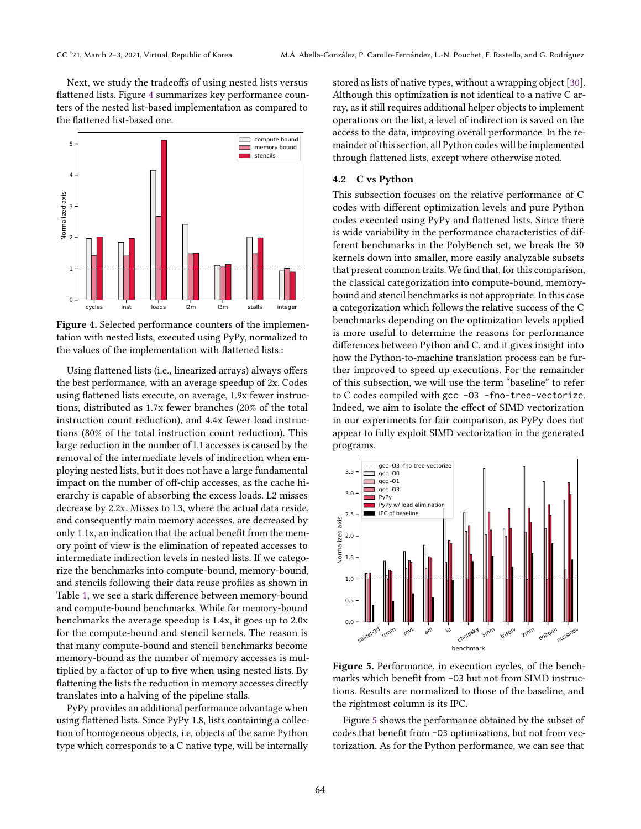Next, we study the tradeoffs of using nested lists versus flattened lists. Figure [4](#page-5-0) summarizes key performance counters of the nested list-based implementation as compared to the flattened list-based one.

<span id="page-5-0"></span>

Figure 4. Selected performance counters of the implementation with nested lists, executed using PyPy, normalized to the values of the implementation with flattened lists.:

Using flattened lists (i.e., linearized arrays) always offers the best performance, with an average speedup of 2x. Codes using flattened lists execute, on average, 1.9x fewer instructions, distributed as 1.7x fewer branches (20% of the total instruction count reduction), and 4.4x fewer load instructions (80% of the total instruction count reduction). This large reduction in the number of L1 accesses is caused by the removal of the intermediate levels of indirection when employing nested lists, but it does not have a large fundamental impact on the number of off-chip accesses, as the cache hierarchy is capable of absorbing the excess loads. L2 misses decrease by 2.2x. Misses to L3, where the actual data reside, and consequently main memory accesses, are decreased by only 1.1x, an indication that the actual benefit from the memory point of view is the elimination of repeated accesses to intermediate indirection levels in nested lists. If we categorize the benchmarks into compute-bound, memory-bound, and stencils following their data reuse profiles as shown in Table [1,](#page-3-0) we see a stark difference between memory-bound and compute-bound benchmarks. While for memory-bound benchmarks the average speedup is 1.4x, it goes up to 2.0x for the compute-bound and stencil kernels. The reason is that many compute-bound and stencil benchmarks become memory-bound as the number of memory accesses is multiplied by a factor of up to five when using nested lists. By flattening the lists the reduction in memory accesses directly translates into a halving of the pipeline stalls.

PyPy provides an additional performance advantage when using flattened lists. Since PyPy 1.8, lists containing a collection of homogeneous objects, i.e, objects of the same Python type which corresponds to a C native type, will be internally stored as lists of native types, without a wrapping object [\[30\]](#page-11-9). Although this optimization is not identical to a native C array, as it still requires additional helper objects to implement operations on the list, a level of indirection is saved on the access to the data, improving overall performance. In the remainder of this section, all Python codes will be implemented through flattened lists, except where otherwise noted.

### 4.2 C vs Python

This subsection focuses on the relative performance of C codes with different optimization levels and pure Python codes executed using PyPy and flattened lists. Since there is wide variability in the performance characteristics of different benchmarks in the PolyBench set, we break the 30 kernels down into smaller, more easily analyzable subsets that present common traits. We find that, for this comparison, the classical categorization into compute-bound, memorybound and stencil benchmarks is not appropriate. In this case a categorization which follows the relative success of the C benchmarks depending on the optimization levels applied is more useful to determine the reasons for performance differences between Python and C, and it gives insight into how the Python-to-machine translation process can be further improved to speed up executions. For the remainder of this subsection, we will use the term "baseline" to refer to C codes compiled with gcc -O3 -fno-tree-vectorize. Indeed, we aim to isolate the effect of SIMD vectorization in our experiments for fair comparison, as PyPy does not appear to fully exploit SIMD vectorization in the generated programs.

<span id="page-5-1"></span>

Figure 5. Performance, in execution cycles, of the benchmarks which benefit from -O3 but not from SIMD instructions. Results are normalized to those of the baseline, and the rightmost column is its IPC.

Figure [5](#page-5-1) shows the performance obtained by the subset of codes that benefit from -O3 optimizations, but not from vectorization. As for the Python performance, we can see that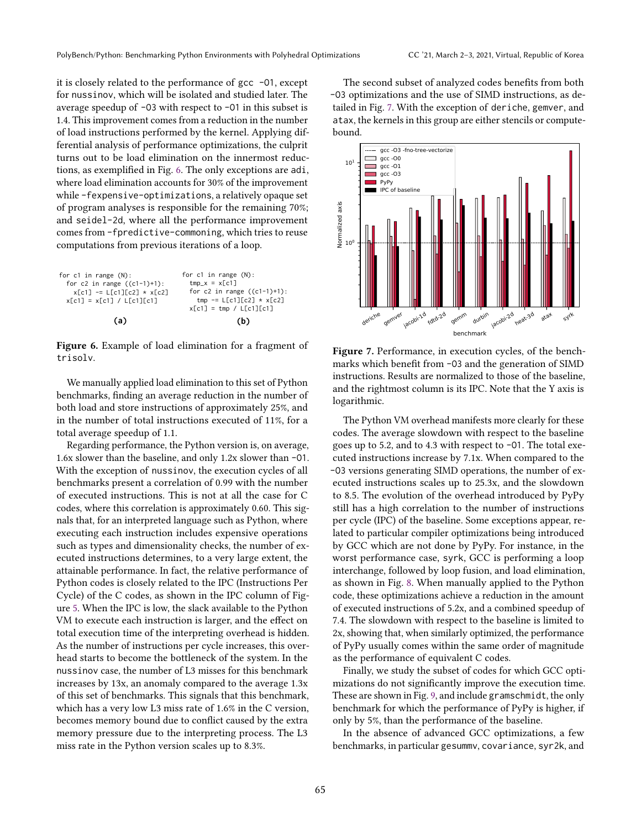it is closely related to the performance of gcc -O1, except for nussinov, which will be isolated and studied later. The average speedup of -O3 with respect to -O1 in this subset is 1.4. This improvement comes from a reduction in the number of load instructions performed by the kernel. Applying differential analysis of performance optimizations, the culprit turns out to be load elimination on the innermost reductions, as exemplified in Fig. [6.](#page-6-0) The only exceptions are adi, where load elimination accounts for 30% of the improvement while -fexpensive-optimizations, a relatively opaque set of program analyses is responsible for the remaining 70%; and seidel-2d, where all the performance improvement comes from -fpredictive-commoning, which tries to reuse computations from previous iterations of a loop.

<span id="page-6-0"></span>

Figure 6. Example of load elimination for a fragment of trisolv.

We manually applied load elimination to this set of Python benchmarks, finding an average reduction in the number of both load and store instructions of approximately 25%, and in the number of total instructions executed of 11%, for a total average speedup of 1.1.

Regarding performance, the Python version is, on average, 1.6x slower than the baseline, and only 1.2x slower than -O1. With the exception of nussinov, the execution cycles of all benchmarks present a correlation of 0.99 with the number of executed instructions. This is not at all the case for C codes, where this correlation is approximately 0.60. This signals that, for an interpreted language such as Python, where executing each instruction includes expensive operations such as types and dimensionality checks, the number of executed instructions determines, to a very large extent, the attainable performance. In fact, the relative performance of Python codes is closely related to the IPC (Instructions Per Cycle) of the C codes, as shown in the IPC column of Figure [5.](#page-5-1) When the IPC is low, the slack available to the Python VM to execute each instruction is larger, and the effect on total execution time of the interpreting overhead is hidden. As the number of instructions per cycle increases, this overhead starts to become the bottleneck of the system. In the nussinov case, the number of L3 misses for this benchmark increases by 13x, an anomaly compared to the average 1.3x of this set of benchmarks. This signals that this benchmark, which has a very low L3 miss rate of 1.6% in the C version, becomes memory bound due to conflict caused by the extra memory pressure due to the interpreting process. The L3 miss rate in the Python version scales up to 8.3%.

The second subset of analyzed codes benefits from both -O3 optimizations and the use of SIMD instructions, as detailed in Fig. [7.](#page-6-1) With the exception of deriche, gemver, and atax, the kernels in this group are either stencils or computebound.

<span id="page-6-1"></span>

Figure 7. Performance, in execution cycles, of the benchmarks which benefit from -O3 and the generation of SIMD instructions. Results are normalized to those of the baseline, and the rightmost column is its IPC. Note that the Y axis is logarithmic.

The Python VM overhead manifests more clearly for these codes. The average slowdown with respect to the baseline goes up to 5.2, and to 4.3 with respect to -O1. The total executed instructions increase by 7.1x. When compared to the -O3 versions generating SIMD operations, the number of executed instructions scales up to 25.3x, and the slowdown to 8.5. The evolution of the overhead introduced by PyPy still has a high correlation to the number of instructions per cycle (IPC) of the baseline. Some exceptions appear, related to particular compiler optimizations being introduced by GCC which are not done by PyPy. For instance, in the worst performance case, syrk, GCC is performing a loop interchange, followed by loop fusion, and load elimination, as shown in Fig. [8.](#page-7-0) When manually applied to the Python code, these optimizations achieve a reduction in the amount of executed instructions of 5.2x, and a combined speedup of 7.4. The slowdown with respect to the baseline is limited to 2x, showing that, when similarly optimized, the performance of PyPy usually comes within the same order of magnitude as the performance of equivalent C codes.

Finally, we study the subset of codes for which GCC optimizations do not significantly improve the execution time. These are shown in Fig. [9,](#page-7-1) and include gramschmidt, the only benchmark for which the performance of PyPy is higher, if only by 5%, than the performance of the baseline.

In the absence of advanced GCC optimizations, a few benchmarks, in particular gesummv, covariance, syr2k, and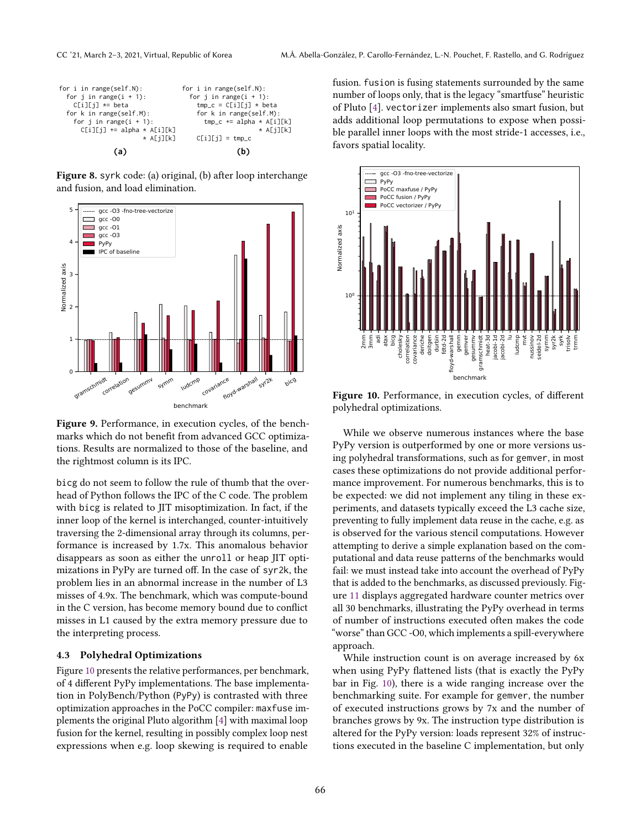<span id="page-7-0"></span>

Figure 8. syrk code: (a) original, (b) after loop interchange and fusion, and load elimination.

<span id="page-7-1"></span>

Figure 9. Performance, in execution cycles, of the benchmarks which do not benefit from advanced GCC optimizations. Results are normalized to those of the baseline, and the rightmost column is its IPC.

bicg do not seem to follow the rule of thumb that the overhead of Python follows the IPC of the C code. The problem with bicg is related to JIT misoptimization. In fact, if the inner loop of the kernel is interchanged, counter-intuitively traversing the 2-dimensional array through its columns, performance is increased by 1.7x. This anomalous behavior disappears as soon as either the unroll or heap JIT optimizations in PyPy are turned off. In the case of syr2k, the problem lies in an abnormal increase in the number of L3 misses of 4.9x. The benchmark, which was compute-bound in the C version, has become memory bound due to conflict misses in L1 caused by the extra memory pressure due to the interpreting process.

## 4.3 Polyhedral Optimizations

Figure [10](#page-7-2) presents the relative performances, per benchmark, of 4 different PyPy implementations. The base implementation in PolyBench/Python (PyPy) is contrasted with three optimization approaches in the PoCC compiler: maxfuse implements the original Pluto algorithm [\[4\]](#page-10-7) with maximal loop fusion for the kernel, resulting in possibly complex loop nest expressions when e.g. loop skewing is required to enable

fusion. fusion is fusing statements surrounded by the same number of loops only, that is the legacy "smartfuse" heuristic of Pluto [\[4\]](#page-10-7). vectorizer implements also smart fusion, but adds additional loop permutations to expose when possible parallel inner loops with the most stride-1 accesses, i.e., favors spatial locality.

<span id="page-7-2"></span>

Figure 10. Performance, in execution cycles, of different polyhedral optimizations.

While we observe numerous instances where the base PyPy version is outperformed by one or more versions using polyhedral transformations, such as for gemver, in most cases these optimizations do not provide additional performance improvement. For numerous benchmarks, this is to be expected: we did not implement any tiling in these experiments, and datasets typically exceed the L3 cache size, preventing to fully implement data reuse in the cache, e.g. as is observed for the various stencil computations. However attempting to derive a simple explanation based on the computational and data reuse patterns of the benchmarks would fail: we must instead take into account the overhead of PyPy that is added to the benchmarks, as discussed previously. Figure [11](#page-8-0) displays aggregated hardware counter metrics over all 30 benchmarks, illustrating the PyPy overhead in terms of number of instructions executed often makes the code "worse" than GCC -O0, which implements a spill-everywhere approach.

While instruction count is on average increased by 6x when using PyPy flattened lists (that is exactly the PyPy bar in Fig. [10\)](#page-7-2), there is a wide ranging increase over the benchmarking suite. For example for gemver, the number of executed instructions grows by 7x and the number of branches grows by 9x. The instruction type distribution is altered for the PyPy version: loads represent 32% of instructions executed in the baseline C implementation, but only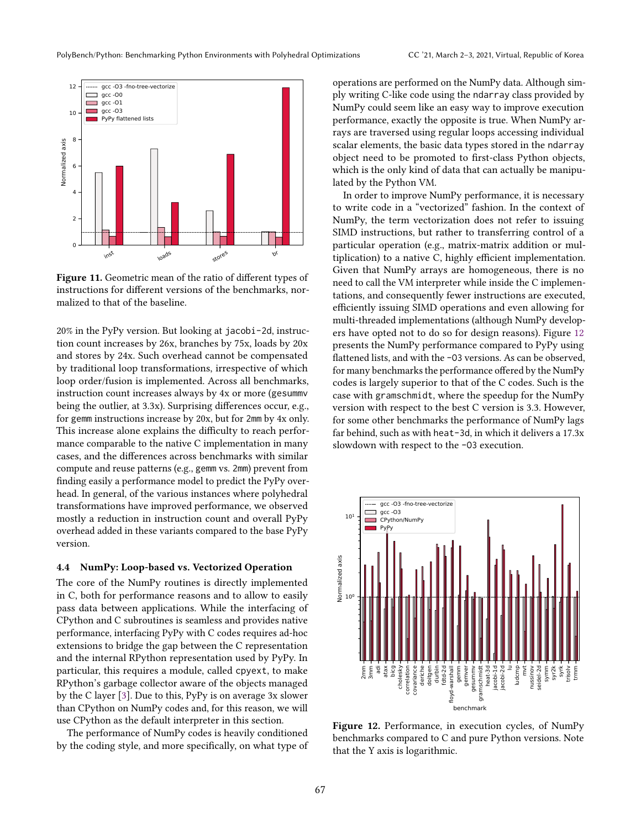<span id="page-8-0"></span>

Figure 11. Geometric mean of the ratio of different types of instructions for different versions of the benchmarks, normalized to that of the baseline.

20% in the PyPy version. But looking at jacobi-2d, instruction count increases by 26x, branches by 75x, loads by 20x and stores by 24x. Such overhead cannot be compensated by traditional loop transformations, irrespective of which loop order/fusion is implemented. Across all benchmarks, instruction count increases always by 4x or more (gesummv being the outlier, at 3.3x). Surprising differences occur, e.g., for gemm instructions increase by 20x, but for 2mm by 4x only. This increase alone explains the difficulty to reach performance comparable to the native C implementation in many cases, and the differences across benchmarks with similar compute and reuse patterns (e.g., gemm vs. 2mm) prevent from finding easily a performance model to predict the PyPy overhead. In general, of the various instances where polyhedral transformations have improved performance, we observed mostly a reduction in instruction count and overall PyPy overhead added in these variants compared to the base PyPy version.

## 4.4 NumPy: Loop-based vs. Vectorized Operation

The core of the NumPy routines is directly implemented in C, both for performance reasons and to allow to easily pass data between applications. While the interfacing of CPython and C subroutines is seamless and provides native performance, interfacing PyPy with C codes requires ad-hoc extensions to bridge the gap between the C representation and the internal RPython representation used by PyPy. In particular, this requires a module, called cpyext, to make RPython's garbage collector aware of the objects managed by the C layer [\[3\]](#page-10-19). Due to this, PyPy is on average 3x slower than CPython on NumPy codes and, for this reason, we will use CPython as the default interpreter in this section.

The performance of NumPy codes is heavily conditioned by the coding style, and more specifically, on what type of operations are performed on the NumPy data. Although simply writing C-like code using the ndarray class provided by NumPy could seem like an easy way to improve execution performance, exactly the opposite is true. When NumPy arrays are traversed using regular loops accessing individual scalar elements, the basic data types stored in the ndarray object need to be promoted to first-class Python objects, which is the only kind of data that can actually be manipulated by the Python VM.

In order to improve NumPy performance, it is necessary to write code in a "vectorized" fashion. In the context of NumPy, the term vectorization does not refer to issuing SIMD instructions, but rather to transferring control of a particular operation (e.g., matrix-matrix addition or multiplication) to a native C, highly efficient implementation. Given that NumPy arrays are homogeneous, there is no need to call the VM interpreter while inside the C implementations, and consequently fewer instructions are executed, efficiently issuing SIMD operations and even allowing for multi-threaded implementations (although NumPy developers have opted not to do so for design reasons). Figure [12](#page-8-1) presents the NumPy performance compared to PyPy using flattened lists, and with the -O3 versions. As can be observed, for many benchmarks the performance offered by the NumPy codes is largely superior to that of the C codes. Such is the case with gramschmidt, where the speedup for the NumPy version with respect to the best C version is 3.3. However, for some other benchmarks the performance of NumPy lags far behind, such as with heat-3d, in which it delivers a 17.3x slowdown with respect to the -O3 execution.

<span id="page-8-1"></span>

Figure 12. Performance, in execution cycles, of NumPy benchmarks compared to C and pure Python versions. Note that the Y axis is logarithmic.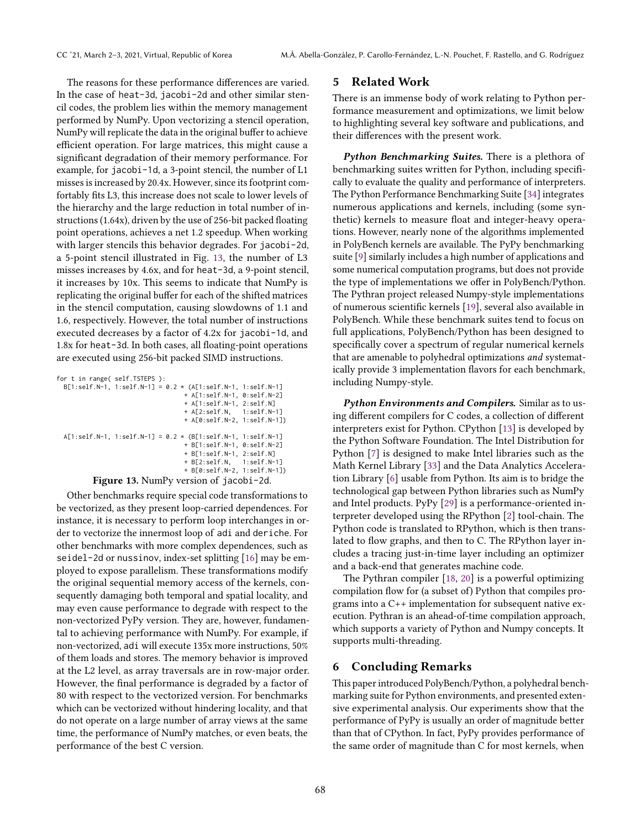The reasons for these performance differences are varied. In the case of heat-3d, jacobi-2d and other similar stencil codes, the problem lies within the memory management performed by NumPy. Upon vectorizing a stencil operation, NumPy will replicate the data in the original buffer to achieve efficient operation. For large matrices, this might cause a significant degradation of their memory performance. For example, for jacobi-1d, a 3-point stencil, the number of L1 misses is increased by 20.4x. However, since its footprint comfortably fits L3, this increase does not scale to lower levels of the hierarchy and the large reduction in total number of instructions (1.64x), driven by the use of 256-bit packed floating point operations, achieves a net 1.2 speedup. When working with larger stencils this behavior degrades. For jacobi-2d, a 5-point stencil illustrated in Fig. [13,](#page-9-2) the number of L3 misses increases by 4.6x, and for heat-3d, a 9-point stencil, it increases by 10x. This seems to indicate that NumPy is replicating the original buffer for each of the shifted matrices in the stencil computation, causing slowdowns of 1.1 and 1.6, respectively. However, the total number of instructions executed decreases by a factor of 4.2x for jacobi-1d, and 1.8x for heat-3d. In both cases, all floating-point operations are executed using 256-bit packed SIMD instructions.

<span id="page-9-2"></span>

| for t in range( self.TSTEPS ):                |  |  |                                                                     |  |
|-----------------------------------------------|--|--|---------------------------------------------------------------------|--|
|                                               |  |  | $B[1:self.N-1, 1:self.N-1] = 0.2 \times (A[1:self.N-1, 1:self.N-1]$ |  |
|                                               |  |  | + A[1:self.N-1, 0:self.N-2]                                         |  |
|                                               |  |  | + A[1:self.N-1, 2:self.N]                                           |  |
|                                               |  |  | + A[2:self.N, 1:self.N-1]                                           |  |
|                                               |  |  | + A[0:self.N-2, 1:self.N-1])                                        |  |
|                                               |  |  |                                                                     |  |
|                                               |  |  | $A[1:self.N-1, 1:self.N-1] = 0.2 * (B[1:self.N-1, 1:self.N-1]$      |  |
|                                               |  |  | + B[1:self.N-1, 0:self.N-2]                                         |  |
|                                               |  |  | + B[1:self.N-1, 2:self.N]                                           |  |
|                                               |  |  | + B[2:self.N, 1:self.N-1]                                           |  |
|                                               |  |  | + B[0:self.N-2, 1:self.N-1])                                        |  |
| <b>Figure 13.</b> NumPy version of jacobi-2d. |  |  |                                                                     |  |

Other benchmarks require special code transformations to be vectorized, as they present loop-carried dependences. For instance, it is necessary to perform loop interchanges in order to vectorize the innermost loop of adi and deriche. For other benchmarks with more complex dependences, such as seidel-2d or nussinov, index-set splitting [\[16\]](#page-10-20) may be employed to expose parallelism. These transformations modify the original sequential memory access of the kernels, consequently damaging both temporal and spatial locality, and may even cause performance to degrade with respect to the non-vectorized PyPy version. They are, however, fundamental to achieving performance with NumPy. For example, if non-vectorized, adi will execute 135x more instructions, 50% of them loads and stores. The memory behavior is improved at the L2 level, as array traversals are in row-major order. However, the final performance is degraded by a factor of 80 with respect to the vectorized version. For benchmarks which can be vectorized without hindering locality, and that do not operate on a large number of array views at the same time, the performance of NumPy matches, or even beats, the performance of the best C version.

# <span id="page-9-0"></span>5 Related Work

There is an immense body of work relating to Python performance measurement and optimizations, we limit below to highlighting several key software and publications, and their differences with the present work.

**Python Benchmarking Suites.** There is a plethora of benchmarking suites written for Python, including specifically to evaluate the quality and performance of interpreters. The Python Performance Benchmarking Suite [\[34\]](#page-11-10) integrates numerous applications and kernels, including (some synthetic) kernels to measure float and integer-heavy operations. However, nearly none of the algorithms implemented in PolyBench kernels are available. The PyPy benchmarking suite [\[9\]](#page-10-21) similarly includes a high number of applications and some numerical computation programs, but does not provide the type of implementations we offer in PolyBench/Python. The Pythran project released Numpy-style implementations of numerous scientific kernels [\[19\]](#page-10-22), several also available in PolyBench. While these benchmark suites tend to focus on full applications, PolyBench/Python has been designed to specifically cover a spectrum of regular numerical kernels that are amenable to polyhedral optimizations and systematically provide 3 implementation flavors for each benchmark, including Numpy-style.

Python Environments and Compilers. Similar as to using different compilers for C codes, a collection of different interpreters exist for Python. CPython [\[13\]](#page-10-16) is developed by the Python Software Foundation. The Intel Distribution for Python [\[7\]](#page-10-3) is designed to make Intel libraries such as the Math Kernel Library [\[33\]](#page-11-8) and the Data Analytics Acceleration Library [\[6\]](#page-10-18) usable from Python. Its aim is to bridge the technological gap between Python libraries such as NumPy and Intel products. PyPy [\[29\]](#page-11-1) is a performance-oriented interpreter developed using the RPython [\[2\]](#page-10-17) tool-chain. The Python code is translated to RPython, which is then translated to flow graphs, and then to C. The RPython layer includes a tracing just-in-time layer including an optimizer and a back-end that generates machine code.

The Pythran compiler [\[18,](#page-10-23) [20\]](#page-10-4) is a powerful optimizing compilation flow for (a subset of) Python that compiles programs into a C++ implementation for subsequent native execution. Pythran is an ahead-of-time compilation approach, which supports a variety of Python and Numpy concepts. It supports multi-threading.

# <span id="page-9-1"></span>6 Concluding Remarks

This paper introduced PolyBench/Python, a polyhedral benchmarking suite for Python environments, and presented extensive experimental analysis. Our experiments show that the performance of PyPy is usually an order of magnitude better than that of CPython. In fact, PyPy provides performance of the same order of magnitude than C for most kernels, when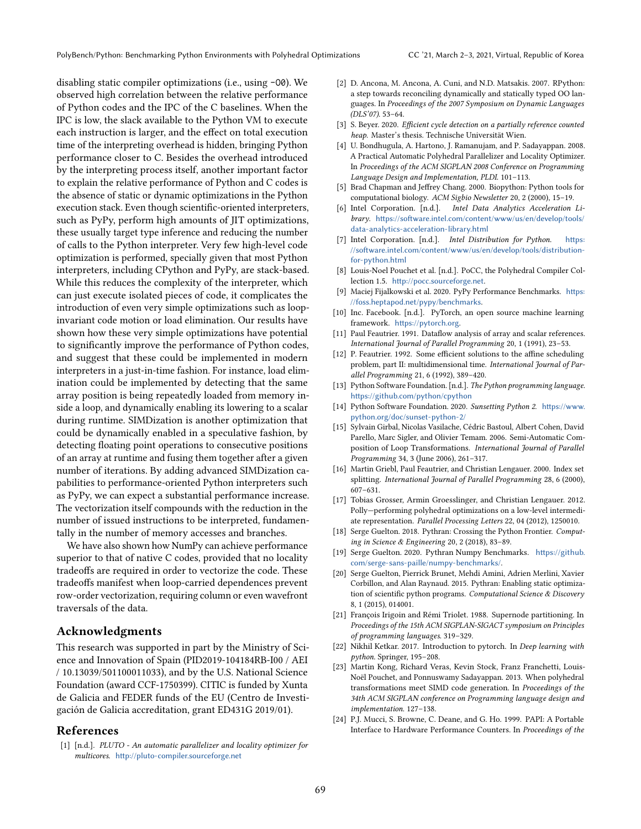disabling static compiler optimizations (i.e., using -O0). We observed high correlation between the relative performance of Python codes and the IPC of the C baselines. When the IPC is low, the slack available to the Python VM to execute each instruction is larger, and the effect on total execution time of the interpreting overhead is hidden, bringing Python performance closer to C. Besides the overhead introduced by the interpreting process itself, another important factor to explain the relative performance of Python and C codes is the absence of static or dynamic optimizations in the Python execution stack. Even though scientific-oriented interpreters, such as PyPy, perform high amounts of JIT optimizations, these usually target type inference and reducing the number of calls to the Python interpreter. Very few high-level code optimization is performed, specially given that most Python interpreters, including CPython and PyPy, are stack-based. While this reduces the complexity of the interpreter, which can just execute isolated pieces of code, it complicates the introduction of even very simple optimizations such as loopinvariant code motion or load elimination. Our results have shown how these very simple optimizations have potential to significantly improve the performance of Python codes, and suggest that these could be implemented in modern interpreters in a just-in-time fashion. For instance, load elimination could be implemented by detecting that the same array position is being repeatedly loaded from memory inside a loop, and dynamically enabling its lowering to a scalar during runtime. SIMDization is another optimization that could be dynamically enabled in a speculative fashion, by detecting floating point operations to consecutive positions of an array at runtime and fusing them together after a given number of iterations. By adding advanced SIMDization capabilities to performance-oriented Python interpreters such as PyPy, we can expect a substantial performance increase. The vectorization itself compounds with the reduction in the number of issued instructions to be interpreted, fundamentally in the number of memory accesses and branches.

We have also shown how NumPy can achieve performance superior to that of native C codes, provided that no locality tradeoffs are required in order to vectorize the code. These tradeoffs manifest when loop-carried dependences prevent row-order vectorization, requiring column or even wavefront traversals of the data.

## Acknowledgments

This research was supported in part by the Ministry of Science and Innovation of Spain (PID2019-104184RB-I00 / AEI / 10.13039/501100011033), and by the U.S. National Science Foundation (award CCF-1750399). CITIC is funded by Xunta de Galicia and FEDER funds of the EU (Centro de Investigación de Galicia accreditation, grant ED431G 2019/01).

## References

<span id="page-10-13"></span>[1] [n.d.]. PLUTO - An automatic parallelizer and locality optimizer for multicores. <http://pluto-compiler.sourceforge.net>

- <span id="page-10-17"></span>[2] D. Ancona, M. Ancona, A. Cuni, and N.D. Matsakis. 2007. RPython: a step towards reconciling dynamically and statically typed OO languages. In Proceedings of the 2007 Symposium on Dynamic Languages  $(DLS'07)$ . 53-64.
- <span id="page-10-19"></span>[3] S. Beyer. 2020. Efficient cycle detection on a partially reference counted heap. Master's thesis. Technische Universität Wien.
- <span id="page-10-7"></span>[4] U. Bondhugula, A. Hartono, J. Ramanujam, and P. Sadayappan. 2008. A Practical Automatic Polyhedral Parallelizer and Locality Optimizer. In Proceedings of the ACM SIGPLAN 2008 Conference on Programming Language Design and Implementation, PLDI. 101-113.
- <span id="page-10-0"></span>[5] Brad Chapman and Jeffrey Chang. 2000. Biopython: Python tools for computational biology. ACM Sigbio Newsletter 20, 2 (2000), 15-19.
- <span id="page-10-18"></span>[6] Intel Corporation. [n.d.]. Intel Data Analytics Acceleration Library. [https://software.intel.com/content/www/us/en/develop/tools/](https://software.intel.com/content/www/us/en/develop/tools/data-analytics-acceleration-library.html) [data-analytics-acceleration-library.html](https://software.intel.com/content/www/us/en/develop/tools/data-analytics-acceleration-library.html)
- <span id="page-10-3"></span>[7] Intel Corporation. [n.d.]. Intel Distribution for Python. [https:](https://software.intel.com/content/www/us/en/develop/tools/distribution-for-python.html) [//software.intel.com/content/www/us/en/develop/tools/distribution](https://software.intel.com/content/www/us/en/develop/tools/distribution-for-python.html)[for-python.html](https://software.intel.com/content/www/us/en/develop/tools/distribution-for-python.html)
- <span id="page-10-12"></span>[8] Louis-Noel Pouchet et al. [n.d.]. PoCC, the Polyhedral Compiler Collection 1.5. <http://pocc.sourceforge.net>.
- <span id="page-10-21"></span>[9] Maciej Fijalkowski et al. 2020. PyPy Performance Benchmarks. [https:](https://foss.heptapod.net/pypy/benchmarks) [//foss.heptapod.net/pypy/benchmarks](https://foss.heptapod.net/pypy/benchmarks).
- <span id="page-10-1"></span>[10] Inc. Facebook. [n.d.]. PyTorch, an open source machine learning framework. <https://pytorch.org>.
- <span id="page-10-6"></span>[11] Paul Feautrier. 1991. Dataflow analysis of array and scalar references. International Journal of Parallel Programming 20, 1 (1991), 23-53.
- <span id="page-10-8"></span>[12] P. Feautrier. 1992. Some efficient solutions to the affine scheduling problem, part II: multidimensional time. International Journal of Parallel Programming 21, 6 (1992), 389-420.
- <span id="page-10-16"></span>[13] Python Software Foundation. [n.d.]. The Python programming language. <https://github.com/python/cpython>
- <span id="page-10-14"></span>[14] Python Software Foundation. 2020. Sunsetting Python 2. [https://www.](https://www.python.org/doc/sunset-python-2/) [python.org/doc/sunset-python-2/](https://www.python.org/doc/sunset-python-2/)
- <span id="page-10-5"></span>[15] Sylvain Girbal, Nicolas Vasilache, Cédric Bastoul, Albert Cohen, David Parello, Marc Sigler, and Olivier Temam. 2006. Semi-Automatic Composition of Loop Transformations. International Journal of Parallel Programming 34, 3 (June 2006), 261-317.
- <span id="page-10-20"></span>[16] Martin Griebl, Paul Feautrier, and Christian Lengauer. 2000. Index set splitting. International Journal of Parallel Programming 28, 6 (2000),  $607 - 631.$
- <span id="page-10-11"></span>[17] Tobias Grosser, Armin Groesslinger, and Christian Lengauer. 2012. Polly-performing polyhedral optimizations on a low-level intermediate representation. Parallel Processing Letters 22, 04 (2012), 1250010.
- <span id="page-10-23"></span>[18] Serge Guelton. 2018. Pythran: Crossing the Python Frontier. Computing in Science & Engineering 20, 2 (2018), 83-89.
- <span id="page-10-22"></span>[19] Serge Guelton. 2020. Pythran Numpy Benchmarks. [https://github.](https://github.com/serge-sans-paille/numpy-benchmarks/) [com/serge-sans-paille/numpy-benchmarks/](https://github.com/serge-sans-paille/numpy-benchmarks/).
- <span id="page-10-4"></span>[20] Serge Guelton, Pierrick Brunet, Mehdi Amini, Adrien Merlini, Xavier Corbillon, and Alan Raynaud. 2015. Pythran: Enabling static optimization of scientific python programs. Computational Science & Discovery 8, 1 (2015), 014001.
- <span id="page-10-9"></span>[21] François Irigoin and Rémi Triolet. 1988. Supernode partitioning. In Proceedings of the 15th ACM SIGPLAN-SIGACT symposium on Principles of programming languages. 319-329.
- <span id="page-10-2"></span>[22] Nikhil Ketkar. 2017. Introduction to pytorch. In Deep learning with python. Springer, 195-208.
- <span id="page-10-10"></span>[23] Martin Kong, Richard Veras, Kevin Stock, Franz Franchetti, Louis-Noël Pouchet, and Ponnuswamy Sadayappan. 2013. When polyhedral transformations meet SIMD code generation. In Proceedings of the 34th ACM SIGPLAN conference on Programming language design and implementation. 127-138.
- <span id="page-10-15"></span>[24] P.J. Mucci, S. Browne, C. Deane, and G. Ho. 1999. PAPI: A Portable Interface to Hardware Performance Counters. In Proceedings of the